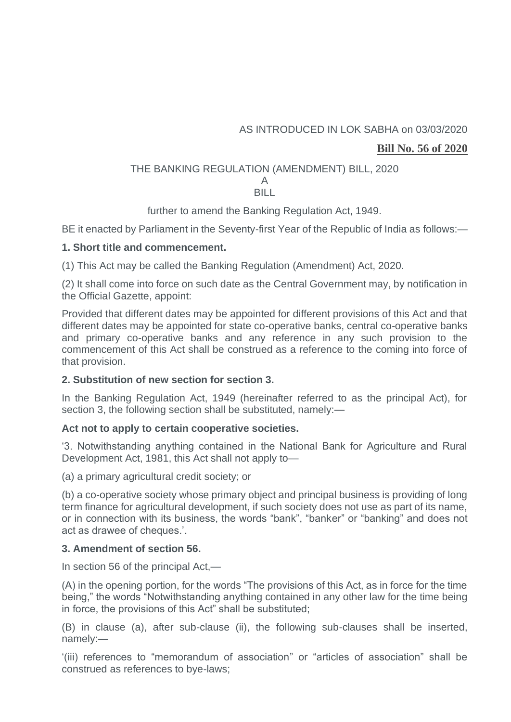# AS INTRODUCED IN LOK SABHA on 03/03/2020

# **Bill No. 56 of 2020**

# THE BANKING REGULATION (AMENDMENT) BILL, 2020

#### A BILL

further to amend the Banking Regulation Act, 1949.

BE it enacted by Parliament in the Seventy-first Year of the Republic of India as follows:—

## **1. Short title and commencement.**

(1) This Act may be called the Banking Regulation (Amendment) Act, 2020.

(2) It shall come into force on such date as the Central Government may, by notification in the Official Gazette, appoint:

Provided that different dates may be appointed for different provisions of this Act and that different dates may be appointed for state co-operative banks, central co-operative banks and primary co-operative banks and any reference in any such provision to the commencement of this Act shall be construed as a reference to the coming into force of that provision.

# **2. Substitution of new section for section 3.**

In the Banking Regulation Act, 1949 (hereinafter referred to as the principal Act), for section 3, the following section shall be substituted, namely:-

## **Act not to apply to certain cooperative societies.**

'3. Notwithstanding anything contained in the National Bank for Agriculture and Rural Development Act, 1981, this Act shall not apply to—

(a) a primary agricultural credit society; or

(b) a co-operative society whose primary object and principal business is providing of long term finance for agricultural development, if such society does not use as part of its name, or in connection with its business, the words "bank", "banker" or "banking" and does not act as drawee of cheques.'.

# **3. Amendment of section 56.**

In section 56 of the principal Act,—

(A) in the opening portion, for the words "The provisions of this Act, as in force for the time being," the words "Notwithstanding anything contained in any other law for the time being in force, the provisions of this Act" shall be substituted;

(B) in clause (a), after sub-clause (ii), the following sub-clauses shall be inserted, namely:—

'(iii) references to "memorandum of association" or "articles of association" shall be construed as references to bye-laws;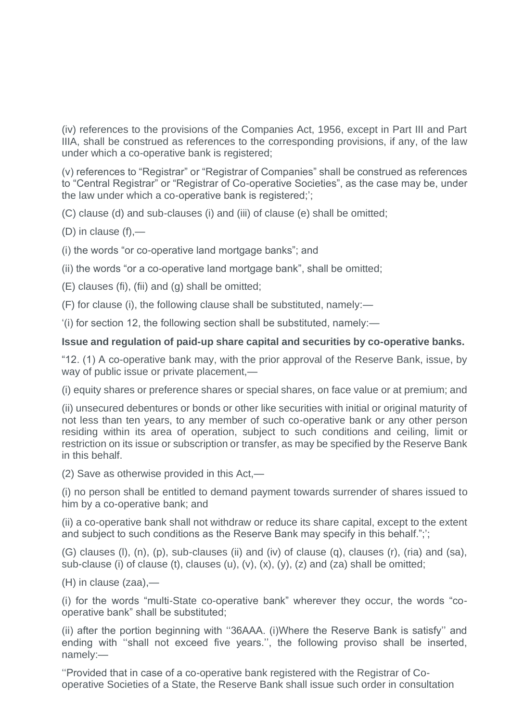(iv) references to the provisions of the Companies Act, 1956, except in Part III and Part IIIA, shall be construed as references to the corresponding provisions, if any, of the law under which a co-operative bank is registered;

(v) references to "Registrar" or "Registrar of Companies" shall be construed as references to "Central Registrar" or "Registrar of Co-operative Societies", as the case may be, under the law under which a co-operative bank is registered;';

(C) clause (d) and sub-clauses (i) and (iii) of clause (e) shall be omitted;

(D) in clause (f),—

(i) the words "or co-operative land mortgage banks"; and

(ii) the words "or a co-operative land mortgage bank", shall be omitted;

(E) clauses (fi), (fii) and (g) shall be omitted;

(F) for clause (i), the following clause shall be substituted, namely:—

'(i) for section 12, the following section shall be substituted, namely:—

#### **Issue and regulation of paid-up share capital and securities by co-operative banks.**

"12. (1) A co-operative bank may, with the prior approval of the Reserve Bank, issue, by way of public issue or private placement,—

(i) equity shares or preference shares or special shares, on face value or at premium; and

(ii) unsecured debentures or bonds or other like securities with initial or original maturity of not less than ten years, to any member of such co-operative bank or any other person residing within its area of operation, subject to such conditions and ceiling, limit or restriction on its issue or subscription or transfer, as may be specified by the Reserve Bank in this behalf.

(2) Save as otherwise provided in this Act,—

(i) no person shall be entitled to demand payment towards surrender of shares issued to him by a co-operative bank; and

(ii) a co-operative bank shall not withdraw or reduce its share capital, except to the extent and subject to such conditions as the Reserve Bank may specify in this behalf.";';

(G) clauses (l), (n), (p), sub-clauses (ii) and (iv) of clause (q), clauses (r), (ria) and (sa), sub-clause (i) of clause (t), clauses (u),  $(v)$ ,  $(x)$ ,  $(y)$ ,  $(z)$  and  $(za)$  shall be omitted;

(H) in clause (zaa),—

(i) for the words "multi-State co-operative bank" wherever they occur, the words "cooperative bank" shall be substituted;

(ii) after the portion beginning with ''36AAA. (i)Where the Reserve Bank is satisfy'' and ending with ''shall not exceed five years.'', the following proviso shall be inserted, namely:—

''Provided that in case of a co-operative bank registered with the Registrar of Cooperative Societies of a State, the Reserve Bank shall issue such order in consultation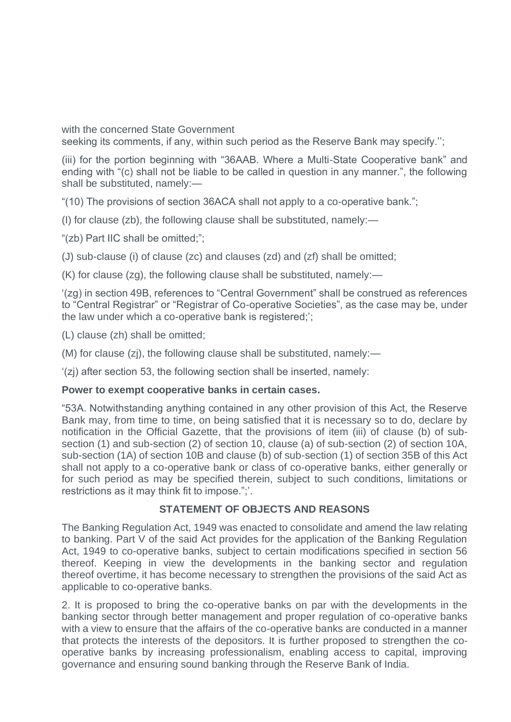with the concerned State Government

seeking its comments, if any, within such period as the Reserve Bank may specify.'';

(iii) for the portion beginning with "36AAB. Where a Multi-State Cooperative bank" and ending with "(c) shall not be liable to be called in question in any manner.", the following shall be substituted, namely:—

"(10) The provisions of section 36ACA shall not apply to a co-operative bank.";

(I) for clause (zb), the following clause shall be substituted, namely:—

"(zb) Part IIC shall be omitted;";

(J) sub-clause (i) of clause (zc) and clauses (zd) and (zf) shall be omitted;

(K) for clause (zg), the following clause shall be substituted, namely:—

'(zg) in section 49B, references to "Central Government" shall be construed as references to "Central Registrar" or "Registrar of Co-operative Societies", as the case may be, under the law under which a co-operative bank is registered;';

(L) clause (zh) shall be omitted;

(M) for clause (zj), the following clause shall be substituted, namely:—

'(zj) after section 53, the following section shall be inserted, namely:

## **Power to exempt cooperative banks in certain cases.**

"53A. Notwithstanding anything contained in any other provision of this Act, the Reserve Bank may, from time to time, on being satisfied that it is necessary so to do, declare by notification in the Official Gazette, that the provisions of item (iii) of clause (b) of subsection (1) and sub-section (2) of section 10, clause (a) of sub-section (2) of section 10A, sub-section (1A) of section 10B and clause (b) of sub-section (1) of section 35B of this Act shall not apply to a co-operative bank or class of co-operative banks, either generally or for such period as may be specified therein, subject to such conditions, limitations or restrictions as it may think fit to impose.";'.

## **STATEMENT OF OBJECTS AND REASONS**

The Banking Regulation Act, 1949 was enacted to consolidate and amend the law relating to banking. Part V of the said Act provides for the application of the Banking Regulation Act, 1949 to co-operative banks, subject to certain modifications specified in section 56 thereof. Keeping in view the developments in the banking sector and regulation thereof overtime, it has become necessary to strengthen the provisions of the said Act as applicable to co-operative banks.

2. It is proposed to bring the co-operative banks on par with the developments in the banking sector through better management and proper regulation of co-operative banks with a view to ensure that the affairs of the co-operative banks are conducted in a manner that protects the interests of the depositors. It is further proposed to strengthen the cooperative banks by increasing professionalism, enabling access to capital, improving governance and ensuring sound banking through the Reserve Bank of India.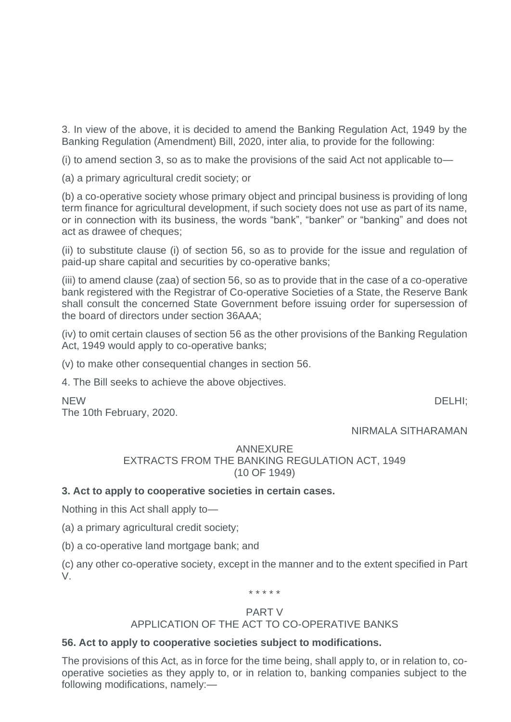3. In view of the above, it is decided to amend the Banking Regulation Act, 1949 by the Banking Regulation (Amendment) Bill, 2020, inter alia, to provide for the following:

(i) to amend section 3, so as to make the provisions of the said Act not applicable to—

(a) a primary agricultural credit society; or

(b) a co-operative society whose primary object and principal business is providing of long term finance for agricultural development, if such society does not use as part of its name, or in connection with its business, the words "bank", "banker" or "banking" and does not act as drawee of cheques;

(ii) to substitute clause (i) of section 56, so as to provide for the issue and regulation of paid-up share capital and securities by co-operative banks;

(iii) to amend clause (zaa) of section 56, so as to provide that in the case of a co-operative bank registered with the Registrar of Co-operative Societies of a State, the Reserve Bank shall consult the concerned State Government before issuing order for supersession of the board of directors under section 36AAA;

(iv) to omit certain clauses of section 56 as the other provisions of the Banking Regulation Act, 1949 would apply to co-operative banks;

(v) to make other consequential changes in section 56.

4. The Bill seeks to achieve the above objectives.

NEW DELHI;

The 10th February, 2020.

NIRMALA SITHARAMAN

## ANNEXURE EXTRACTS FROM THE BANKING REGULATION ACT, 1949 (10 OF 1949)

# **3. Act to apply to cooperative societies in certain cases.**

Nothing in this Act shall apply to—

(a) a primary agricultural credit society;

(b) a co-operative land mortgage bank; and

(c) any other co-operative society, except in the manner and to the extent specified in Part V.

\* \* \* \* \*

## PART V

## APPLICATION OF THE ACT TO CO-OPERATIVE BANKS

## **56. Act to apply to cooperative societies subject to modifications.**

The provisions of this Act, as in force for the time being, shall apply to, or in relation to, cooperative societies as they apply to, or in relation to, banking companies subject to the following modifications, namely:—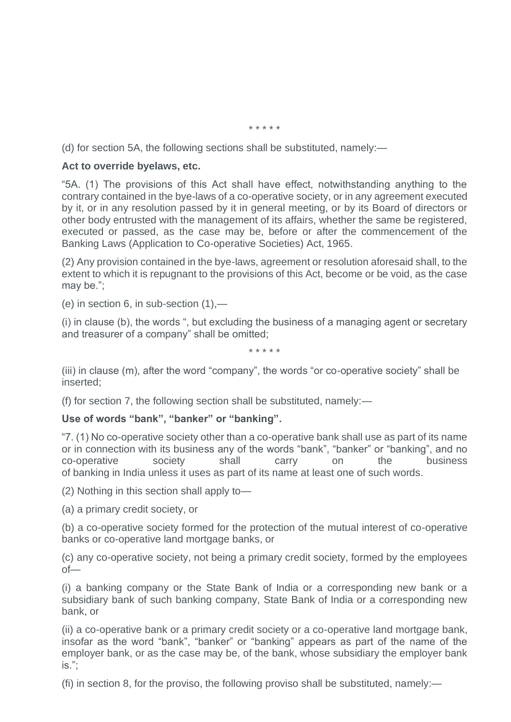\* \* \* \* \*

(d) for section 5A, the following sections shall be substituted, namely:—

## **Act to override byelaws, etc.**

"5A. (1) The provisions of this Act shall have effect, notwithstanding anything to the contrary contained in the bye-laws of a co-operative society, or in any agreement executed by it, or in any resolution passed by it in general meeting, or by its Board of directors or other body entrusted with the management of its affairs, whether the same be registered, executed or passed, as the case may be, before or after the commencement of the Banking Laws (Application to Co-operative Societies) Act, 1965.

(2) Any provision contained in the bye-laws, agreement or resolution aforesaid shall, to the extent to which it is repugnant to the provisions of this Act, become or be void, as the case may be.";

(e) in section 6, in sub-section  $(1)$ ,—

(i) in clause (b), the words ", but excluding the business of a managing agent or secretary and treasurer of a company" shall be omitted;

\* \* \* \* \*

(iii) in clause (m), after the word "company", the words "or co-operative society" shall be inserted;

(f) for section 7, the following section shall be substituted, namely:—

## **Use of words "bank", "banker" or "banking".**

"7. (1) No co-operative society other than a co-operative bank shall use as part of its name or in connection with its business any of the words "bank", "banker" or "banking", and no co-operative society shall carry on the business of banking in India unless it uses as part of its name at least one of such words.

(2) Nothing in this section shall apply to—

(a) a primary credit society, or

(b) a co-operative society formed for the protection of the mutual interest of co-operative banks or co-operative land mortgage banks, or

(c) any co-operative society, not being a primary credit society, formed by the employees  $of$ —

(i) a banking company or the State Bank of India or a corresponding new bank or a subsidiary bank of such banking company, State Bank of India or a corresponding new bank, or

(ii) a co-operative bank or a primary credit society or a co-operative land mortgage bank, insofar as the word "bank", "banker" or "banking" appears as part of the name of the employer bank, or as the case may be, of the bank, whose subsidiary the employer bank is.";

(fi) in section 8, for the proviso, the following proviso shall be substituted, namely:—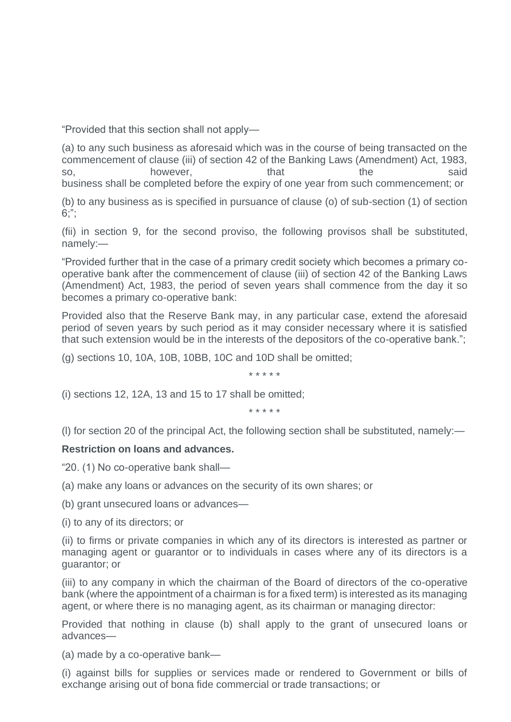"Provided that this section shall not apply—

(a) to any such business as aforesaid which was in the course of being transacted on the commencement of clause (iii) of section 42 of the Banking Laws (Amendment) Act, 1983, so, bowever, that the said business shall be completed before the expiry of one year from such commencement; or

(b) to any business as is specified in pursuance of clause (o) of sub-section (1) of section  $6:$ ";

(fii) in section 9, for the second proviso, the following provisos shall be substituted, namely:—

"Provided further that in the case of a primary credit society which becomes a primary cooperative bank after the commencement of clause (iii) of section 42 of the Banking Laws (Amendment) Act, 1983, the period of seven years shall commence from the day it so becomes a primary co-operative bank:

Provided also that the Reserve Bank may, in any particular case, extend the aforesaid period of seven years by such period as it may consider necessary where it is satisfied that such extension would be in the interests of the depositors of the co-operative bank.";

(g) sections 10, 10A, 10B, 10BB, 10C and 10D shall be omitted;

\* \* \* \* \*

(i) sections 12, 12A, 13 and 15 to 17 shall be omitted;

\* \* \* \* \*

(l) for section 20 of the principal Act, the following section shall be substituted, namely:—

## **Restriction on loans and advances.**

"20. (1) No co-operative bank shall—

(a) make any loans or advances on the security of its own shares; or

(b) grant unsecured loans or advances—

(i) to any of its directors; or

(ii) to firms or private companies in which any of its directors is interested as partner or managing agent or guarantor or to individuals in cases where any of its directors is a guarantor; or

(iii) to any company in which the chairman of the Board of directors of the co-operative bank (where the appointment of a chairman is for a fixed term) is interested as its managing agent, or where there is no managing agent, as its chairman or managing director:

Provided that nothing in clause (b) shall apply to the grant of unsecured loans or advances—

(a) made by a co-operative bank—

(i) against bills for supplies or services made or rendered to Government or bills of exchange arising out of bona fide commercial or trade transactions; or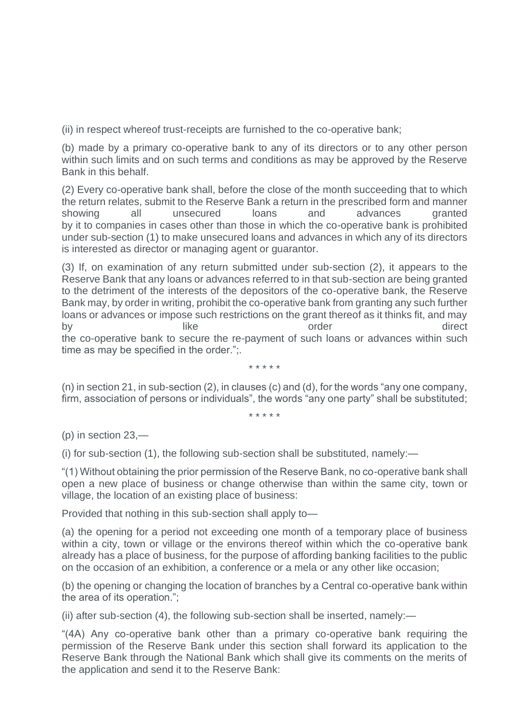(ii) in respect whereof trust-receipts are furnished to the co-operative bank;

(b) made by a primary co-operative bank to any of its directors or to any other person within such limits and on such terms and conditions as may be approved by the Reserve Bank in this behalf.

(2) Every co-operative bank shall, before the close of the month succeeding that to which the return relates, submit to the Reserve Bank a return in the prescribed form and manner showing all unsecured loans and advances granted by it to companies in cases other than those in which the co-operative bank is prohibited under sub-section (1) to make unsecured loans and advances in which any of its directors is interested as director or managing agent or guarantor.

(3) If, on examination of any return submitted under sub-section (2), it appears to the Reserve Bank that any loans or advances referred to in that sub-section are being granted to the detriment of the interests of the depositors of the co-operative bank, the Reserve Bank may, by order in writing, prohibit the co-operative bank from granting any such further loans or advances or impose such restrictions on the grant thereof as it thinks fit, and may by a like like order and direct the co-operative bank to secure the re-payment of such loans or advances within such time as may be specified in the order.";.

(n) in section 21, in sub-section (2), in clauses (c) and (d), for the words "any one company, firm, association of persons or individuals", the words "any one party" shall be substituted;

\* \* \* \* \*

\* \* \* \* \*

(p) in section 23,—

(i) for sub-section (1), the following sub-section shall be substituted, namely:—

"(1) Without obtaining the prior permission of the Reserve Bank, no co-operative bank shall open a new place of business or change otherwise than within the same city, town or village, the location of an existing place of business:

Provided that nothing in this sub-section shall apply to—

(a) the opening for a period not exceeding one month of a temporary place of business within a city, town or village or the environs thereof within which the co-operative bank already has a place of business, for the purpose of affording banking facilities to the public on the occasion of an exhibition, a conference or a mela or any other like occasion;

(b) the opening or changing the location of branches by a Central co-operative bank within the area of its operation.";

(ii) after sub-section (4), the following sub-section shall be inserted, namely:—

"(4A) Any co-operative bank other than a primary co-operative bank requiring the permission of the Reserve Bank under this section shall forward its application to the Reserve Bank through the National Bank which shall give its comments on the merits of the application and send it to the Reserve Bank: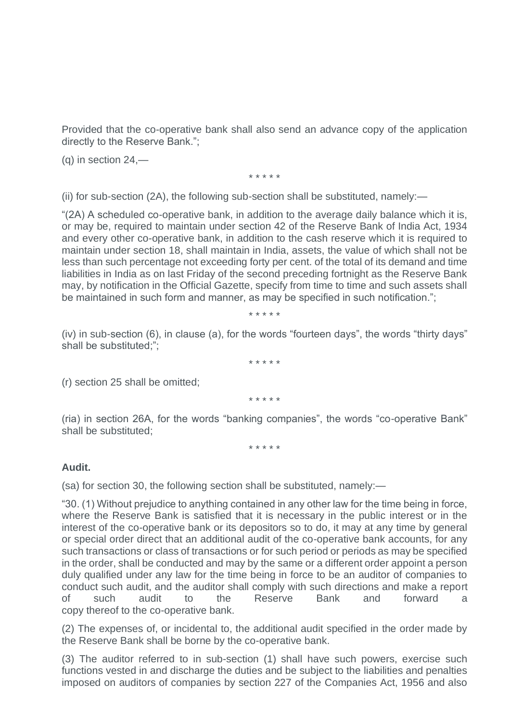Provided that the co-operative bank shall also send an advance copy of the application directly to the Reserve Bank.";

 $(q)$  in section 24,—

\* \* \* \* \*

(ii) for sub-section (2A), the following sub-section shall be substituted, namely:—

"(2A) A scheduled co-operative bank, in addition to the average daily balance which it is, or may be, required to maintain under section 42 of the Reserve Bank of India Act, 1934 and every other co-operative bank, in addition to the cash reserve which it is required to maintain under section 18, shall maintain in India, assets, the value of which shall not be less than such percentage not exceeding forty per cent. of the total of its demand and time liabilities in India as on last Friday of the second preceding fortnight as the Reserve Bank may, by notification in the Official Gazette, specify from time to time and such assets shall be maintained in such form and manner, as may be specified in such notification.";

\* \* \* \* \*

(iv) in sub-section (6), in clause (a), for the words "fourteen days", the words "thirty days" shall be substituted;";

\* \* \* \* \*

(r) section 25 shall be omitted;

\* \* \* \* \*

(ria) in section 26A, for the words "banking companies", the words "co-operative Bank" shall be substituted;

\* \* \* \* \*

## **Audit.**

(sa) for section 30, the following section shall be substituted, namely:—

"30. (1) Without prejudice to anything contained in any other law for the time being in force, where the Reserve Bank is satisfied that it is necessary in the public interest or in the interest of the co-operative bank or its depositors so to do, it may at any time by general or special order direct that an additional audit of the co-operative bank accounts, for any such transactions or class of transactions or for such period or periods as may be specified in the order, shall be conducted and may by the same or a different order appoint a person duly qualified under any law for the time being in force to be an auditor of companies to conduct such audit, and the auditor shall comply with such directions and make a report of such audit to the Reserve Bank and forward a copy thereof to the co-operative bank.

(2) The expenses of, or incidental to, the additional audit specified in the order made by the Reserve Bank shall be borne by the co-operative bank.

(3) The auditor referred to in sub-section (1) shall have such powers, exercise such functions vested in and discharge the duties and be subject to the liabilities and penalties imposed on auditors of companies by section 227 of the Companies Act, 1956 and also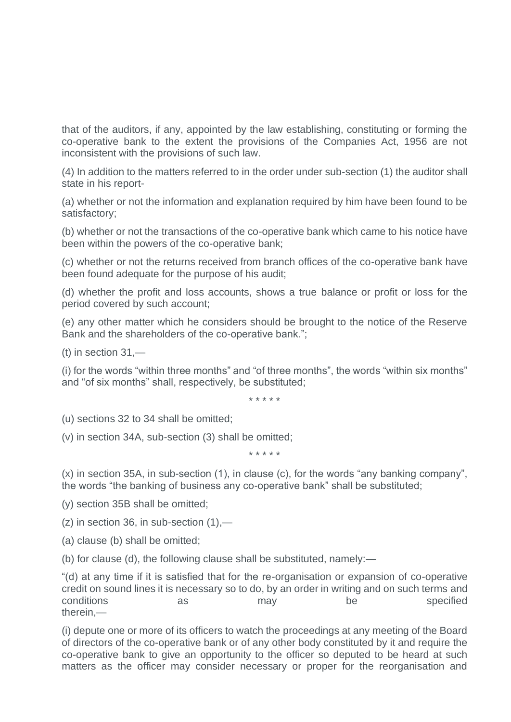that of the auditors, if any, appointed by the law establishing, constituting or forming the co-operative bank to the extent the provisions of the Companies Act, 1956 are not inconsistent with the provisions of such law.

(4) In addition to the matters referred to in the order under sub-section (1) the auditor shall state in his report-

(a) whether or not the information and explanation required by him have been found to be satisfactory;

(b) whether or not the transactions of the co-operative bank which came to his notice have been within the powers of the co-operative bank;

(c) whether or not the returns received from branch offices of the co-operative bank have been found adequate for the purpose of his audit;

(d) whether the profit and loss accounts, shows a true balance or profit or loss for the period covered by such account;

(e) any other matter which he considers should be brought to the notice of the Reserve Bank and the shareholders of the co-operative bank.";

(t) in section 31,—

(i) for the words "within three months" and "of three months", the words "within six months" and "of six months" shall, respectively, be substituted;

\* \* \* \* \*

(u) sections 32 to 34 shall be omitted;

(v) in section 34A, sub-section (3) shall be omitted;

\* \* \* \* \*

(x) in section 35A, in sub-section (1), in clause (c), for the words "any banking company", the words "the banking of business any co-operative bank" shall be substituted;

(y) section 35B shall be omitted;

 $(z)$  in section 36, in sub-section  $(1)$ ,—

(a) clause (b) shall be omitted;

(b) for clause (d), the following clause shall be substituted, namely:—

"(d) at any time if it is satisfied that for the re-organisation or expansion of co-operative credit on sound lines it is necessary so to do, by an order in writing and on such terms and conditions as as may be specified therein,—

(i) depute one or more of its officers to watch the proceedings at any meeting of the Board of directors of the co-operative bank or of any other body constituted by it and require the co-operative bank to give an opportunity to the officer so deputed to be heard at such matters as the officer may consider necessary or proper for the reorganisation and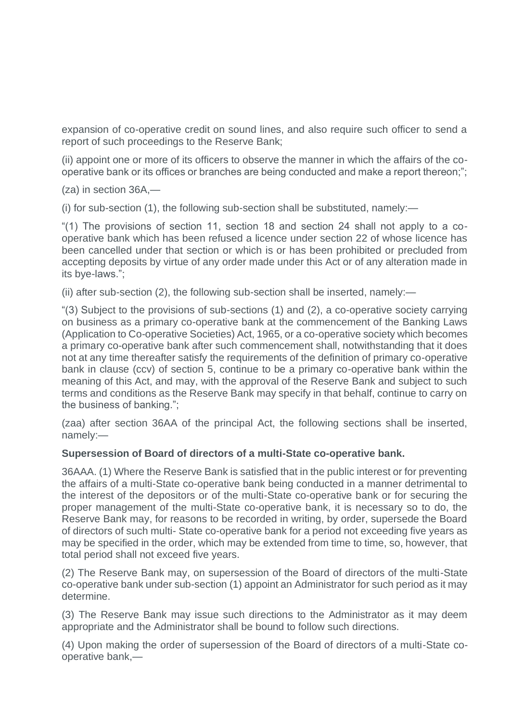expansion of co-operative credit on sound lines, and also require such officer to send a report of such proceedings to the Reserve Bank;

(ii) appoint one or more of its officers to observe the manner in which the affairs of the cooperative bank or its offices or branches are being conducted and make a report thereon;";

(za) in section 36A,—

(i) for sub-section (1), the following sub-section shall be substituted, namely:—

"(1) The provisions of section 11, section 18 and section 24 shall not apply to a cooperative bank which has been refused a licence under section 22 of whose licence has been cancelled under that section or which is or has been prohibited or precluded from accepting deposits by virtue of any order made under this Act or of any alteration made in its bye-laws.";

(ii) after sub-section (2), the following sub-section shall be inserted, namely:—

"(3) Subject to the provisions of sub-sections (1) and (2), a co-operative society carrying on business as a primary co-operative bank at the commencement of the Banking Laws (Application to Co-operative Societies) Act, 1965, or a co-operative society which becomes a primary co-operative bank after such commencement shall, notwithstanding that it does not at any time thereafter satisfy the requirements of the definition of primary co-operative bank in clause (ccv) of section 5, continue to be a primary co-operative bank within the meaning of this Act, and may, with the approval of the Reserve Bank and subject to such terms and conditions as the Reserve Bank may specify in that behalf, continue to carry on the business of banking.";

(zaa) after section 36AA of the principal Act, the following sections shall be inserted, namely:—

## **Supersession of Board of directors of a multi-State co-operative bank.**

36AAA. (1) Where the Reserve Bank is satisfied that in the public interest or for preventing the affairs of a multi-State co-operative bank being conducted in a manner detrimental to the interest of the depositors or of the multi-State co-operative bank or for securing the proper management of the multi-State co-operative bank, it is necessary so to do, the Reserve Bank may, for reasons to be recorded in writing, by order, supersede the Board of directors of such multi- State co-operative bank for a period not exceeding five years as may be specified in the order, which may be extended from time to time, so, however, that total period shall not exceed five years.

(2) The Reserve Bank may, on supersession of the Board of directors of the multi-State co-operative bank under sub-section (1) appoint an Administrator for such period as it may determine.

(3) The Reserve Bank may issue such directions to the Administrator as it may deem appropriate and the Administrator shall be bound to follow such directions.

(4) Upon making the order of supersession of the Board of directors of a multi-State cooperative bank,—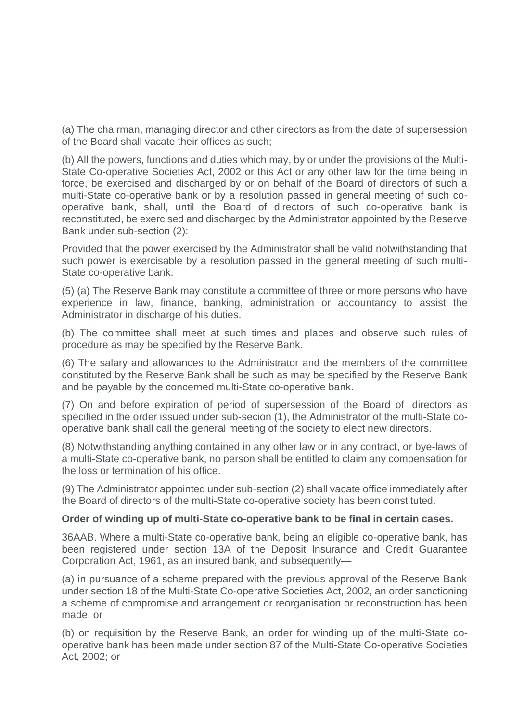(a) The chairman, managing director and other directors as from the date of supersession of the Board shall vacate their offices as such;

(b) All the powers, functions and duties which may, by or under the provisions of the Multi-State Co-operative Societies Act, 2002 or this Act or any other law for the time being in force, be exercised and discharged by or on behalf of the Board of directors of such a multi-State co-operative bank or by a resolution passed in general meeting of such cooperative bank, shall, until the Board of directors of such co-operative bank is reconstituted, be exercised and discharged by the Administrator appointed by the Reserve Bank under sub-section (2):

Provided that the power exercised by the Administrator shall be valid notwithstanding that such power is exercisable by a resolution passed in the general meeting of such multi-State co-operative bank.

(5) (a) The Reserve Bank may constitute a committee of three or more persons who have experience in law, finance, banking, administration or accountancy to assist the Administrator in discharge of his duties.

(b) The committee shall meet at such times and places and observe such rules of procedure as may be specified by the Reserve Bank.

(6) The salary and allowances to the Administrator and the members of the committee constituted by the Reserve Bank shall be such as may be specified by the Reserve Bank and be payable by the concerned multi-State co-operative bank.

(7) On and before expiration of period of supersession of the Board of directors as specified in the order issued under sub-secion (1), the Administrator of the multi-State cooperative bank shall call the general meeting of the society to elect new directors.

(8) Notwithstanding anything contained in any other law or in any contract, or bye-laws of a multi-State co-operative bank, no person shall be entitled to claim any compensation for the loss or termination of his office.

(9) The Administrator appointed under sub-section (2) shall vacate office immediately after the Board of directors of the multi-State co-operative society has been constituted.

#### **Order of winding up of multi-State co-operative bank to be final in certain cases.**

36AAB. Where a multi-State co-operative bank, being an eligible co-operative bank, has been registered under section 13A of the Deposit Insurance and Credit Guarantee Corporation Act, 1961, as an insured bank, and subsequently—

(a) in pursuance of a scheme prepared with the previous approval of the Reserve Bank under section 18 of the Multi-State Co-operative Societies Act, 2002, an order sanctioning a scheme of compromise and arrangement or reorganisation or reconstruction has been made; or

(b) on requisition by the Reserve Bank, an order for winding up of the multi-State cooperative bank has been made under section 87 of the Multi-State Co-operative Societies Act, 2002; or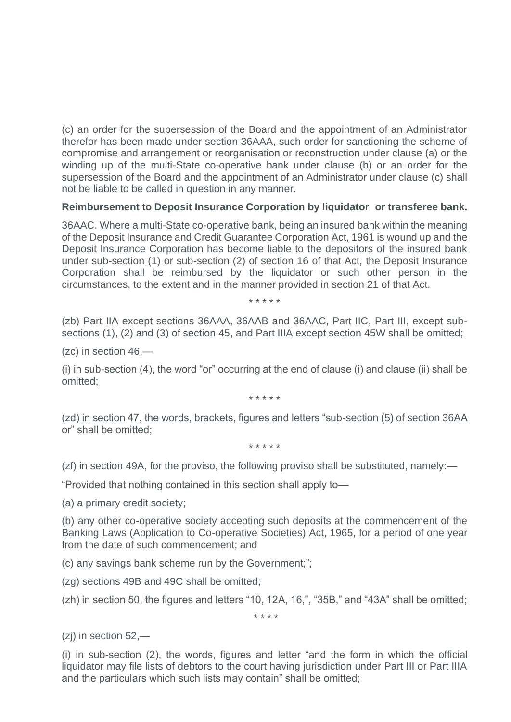(c) an order for the supersession of the Board and the appointment of an Administrator therefor has been made under section 36AAA, such order for sanctioning the scheme of compromise and arrangement or reorganisation or reconstruction under clause (a) or the winding up of the multi-State co-operative bank under clause (b) or an order for the supersession of the Board and the appointment of an Administrator under clause (c) shall not be liable to be called in question in any manner.

## **Reimbursement to Deposit Insurance Corporation by liquidator or transferee bank.**

36AAC. Where a multi-State co-operative bank, being an insured bank within the meaning of the Deposit Insurance and Credit Guarantee Corporation Act, 1961 is wound up and the Deposit Insurance Corporation has become liable to the depositors of the insured bank under sub-section (1) or sub-section (2) of section 16 of that Act, the Deposit Insurance Corporation shall be reimbursed by the liquidator or such other person in the circumstances, to the extent and in the manner provided in section 21 of that Act.

\* \* \* \* \*

(zb) Part IIA except sections 36AAA, 36AAB and 36AAC, Part IIC, Part III, except subsections (1), (2) and (3) of section 45, and Part IIIA except section 45W shall be omitted;

(zc) in section 46,—

(i) in sub-section (4), the word "or" occurring at the end of clause (i) and clause (ii) shall be omitted;

\* \* \* \* \*

(zd) in section 47, the words, brackets, figures and letters "sub-section (5) of section 36AA or" shall be omitted;

\* \* \* \* \*

(zf) in section 49A, for the proviso, the following proviso shall be substituted, namely:—

"Provided that nothing contained in this section shall apply to—

(a) a primary credit society;

(b) any other co-operative society accepting such deposits at the commencement of the Banking Laws (Application to Co-operative Societies) Act, 1965, for a period of one year from the date of such commencement; and

(c) any savings bank scheme run by the Government;";

(zg) sections 49B and 49C shall be omitted;

(zh) in section 50, the figures and letters "10, 12A, 16,", "35B," and "43A" shall be omitted;

\* \* \* \*

(zj) in section 52,—

(i) in sub-section (2), the words, figures and letter "and the form in which the official liquidator may file lists of debtors to the court having jurisdiction under Part III or Part IIIA and the particulars which such lists may contain" shall be omitted;